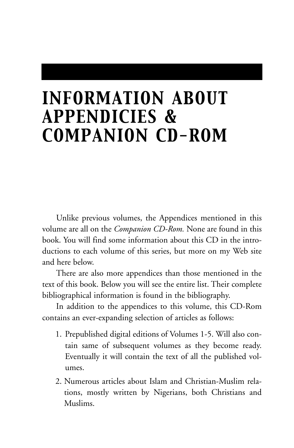## *INFORMATION ABOUT APPENDICIES & COMPANION CD-ROM*

Unlike previous volumes, the Appendices mentioned in this volume are all on the *Companion CD-Rom.* None are found in this book. You will find some information about this CD in the introductions to each volume of this series, but more on my Web site and here below.

There are also more appendices than those mentioned in the text of this book. Below you will see the entire list. Their complete bibliographical information is found in the bibliography.

In addition to the appendices to this volume, this CD-Rom contains an ever-expanding selection of articles as follows:

- 1. Prepublished digital editions of Volumes 1-5. Will also contain same of subsequent volumes as they become ready. Eventually it will contain the text of all the published volumes.
- 2. Numerous articles about Islam and Christian-Muslim relations, mostly written by Nigerians, both Christians and Muslims.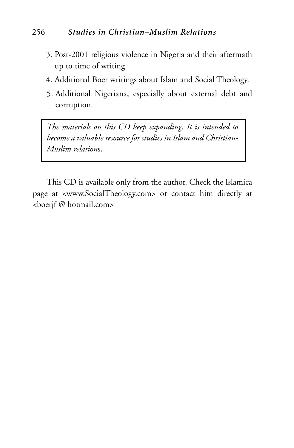## 256 *Studies in Christian–Muslim Relations*

- 3. Post-2001 religious violence in Nigeria and their aftermath up to time of writing.
- 4. Additional Boer writings about Islam and Social Theology.
- 5. Additional Nigeriana, especially about external debt and corruption.

*The materials on this CD keep expanding. It is intended to become a valuable resource for studies in Islam and Christian-Muslim relation*s.

This CD is available only from the author. Check the Islamica page at <www.SocialTheology.com> or contact him directly at <boerjf @ hotmail.com>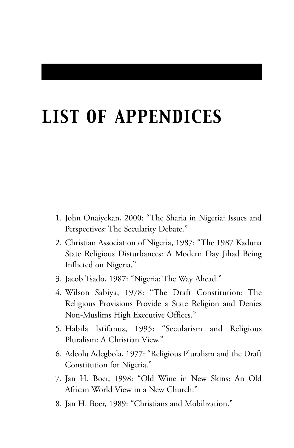## *LIST OF APPENDICES*

- 1. John Onaiyekan, 2000: "The Sharia in Nigeria: Issues and Perspectives: The Secularity Debate."
- 2. Christian Association of Nigeria, 1987: "The 1987 Kaduna State Religious Disturbances: A Modern Day Jihad Being Inflicted on Nigeria."
- 3. Jacob Tsado, 1987: "Nigeria: The Way Ahead."
- 4. Wilson Sabiya, 1978: "The Draft Constitution: The Religious Provisions Provide a State Religion and Denies Non-Muslims High Executive Offices."
- 5. Habila Istifanus, 1995: "Secularism and Religious Pluralism: A Christian View."
- 6. Adeolu Adegbola, 1977: "Religious Pluralism and the Draft Constitution for Nigeria."
- 7. Jan H. Boer, 1998: "Old Wine in New Skins: An Old African World View in a New Church."
- 8. Jan H. Boer, 1989: "Christians and Mobilization."